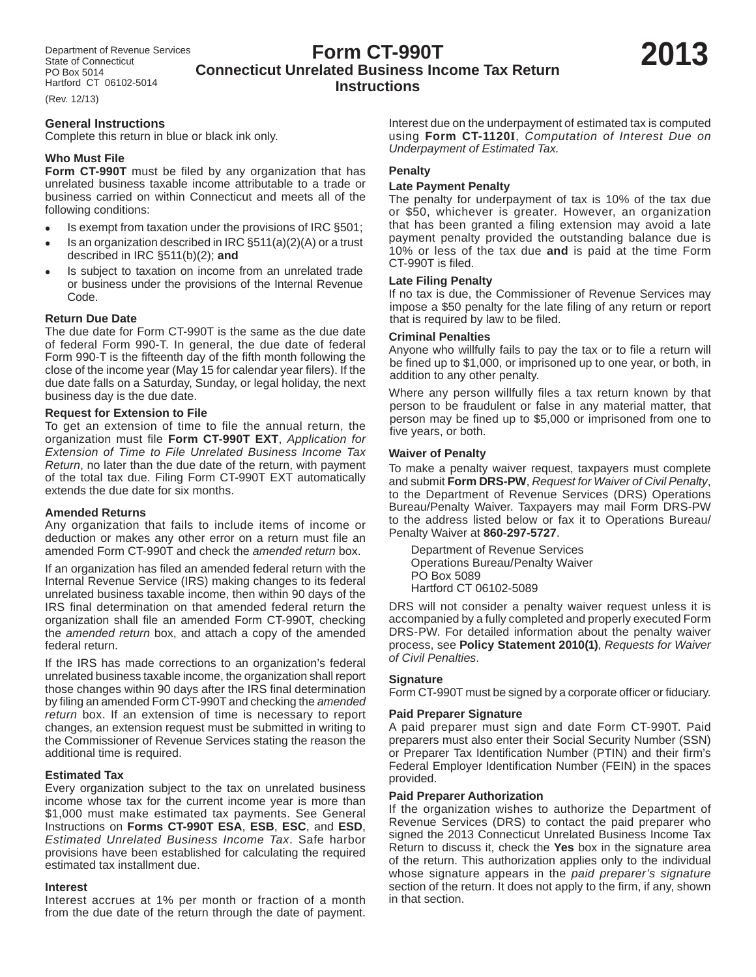# **Form CT-990T Connecticut Unrelated Business Income Tax Return Instructions**

(Rev. 12/13)

### **General Instructions**

Complete this return in blue or black ink only.

### **Who Must File**

**Form CT-990T** must be filed by any organization that has unrelated business taxable income attributable to a trade or business carried on within Connecticut and meets all of the following conditions:

- Is exempt from taxation under the provisions of IRC §501;
- Is an organization described in IRC §511(a)(2)(A) or a trust described in IRC §511(b)(2); **and**
- Is subject to taxation on income from an unrelated trade or business under the provisions of the Internal Revenue Code.

### **Return Due Date**

The due date for Form CT-990T is the same as the due date of federal Form 990-T. In general, the due date of federal Form 990-T is the fifteenth day of the fifth month following the close of the income year (May 15 for calendar year filers). If the due date falls on a Saturday, Sunday, or legal holiday, the next business day is the due date.

### **Request for Extension to File**

To get an extension of time to file the annual return, the organization must file Form CT-990T EXT, Application for *Extension of Time to File Unrelated Business Income Tax Return*, no later than the due date of the return, with payment of the total tax due. Filing Form CT-990T EXT automatically extends the due date for six months.

### **Amended Returns**

Any organization that fails to include items of income or deduction or makes any other error on a return must file an amended Form CT-990T and check the *amended return* box.

If an organization has filed an amended federal return with the Internal Revenue Service (IRS) making changes to its federal unrelated business taxable income, then within 90 days of the IRS final determination on that amended federal return the organization shall file an amended Form CT-990T, checking the *amended return* box, and attach a copy of the amended federal return.

If the IRS has made corrections to an organization's federal unrelated business taxable income, the organization shall report those changes within 90 days after the IRS final determination by filing an amended Form CT-990T and checking the *amended return* box. If an extension of time is necessary to report changes, an extension request must be submitted in writing to the Commissioner of Revenue Services stating the reason the additional time is required.

### **Estimated Tax**

Every organization subject to the tax on unrelated business income whose tax for the current income year is more than \$1,000 must make estimated tax payments. See General Instructions on **Forms CT-990T ESA**, **ESB**, **ESC**, and **ESD**, *Estimated Unrelated Business Income Tax*. Safe harbor provisions have been established for calculating the required estimated tax installment due.

#### **Interest**

Interest accrues at 1% per month or fraction of a month from the due date of the return through the date of payment. Interest due on the underpayment of estimated tax is computed using **Form CT-1120I**, *Computation of Interest Due on Underpayment of Estimated Tax.*

### **Penalty**

### **Late Payment Penalty**

The penalty for underpayment of tax is 10% of the tax due or \$50, whichever is greater. However, an organization that has been granted a filing extension may avoid a late payment penalty provided the outstanding balance due is 10% or less of the tax due **and** is paid at the time Form CT-990T is filed.

#### **Late Filing Penalty**

If no tax is due, the Commissioner of Revenue Services may impose a \$50 penalty for the late filing of any return or report that is required by law to be filed.

#### **Criminal Penalties**

Anyone who willfully fails to pay the tax or to file a return will be fined up to \$1,000, or imprisoned up to one year, or both, in addition to any other penalty.

Where any person willfully files a tax return known by that person to be fraudulent or false in any material matter, that person may be fined up to \$5,000 or imprisoned from one to five years, or both.

### **Waiver of Penalty**

To make a penalty waiver request, taxpayers must complete and submit **Form DRS-PW**, *Request for Waiver of Civil Penalty*, to the Department of Revenue Services (DRS) Operations Bureau/Penalty Waiver. Taxpayers may mail Form DRS-PW to the address listed below or fax it to Operations Bureau/ Penalty Waiver at **860-297-5727**.

 Department of Revenue Services Operations Bureau/Penalty Waiver PO Box 5089 Hartford CT 06102-5089

DRS will not consider a penalty waiver request unless it is accompanied by a fully completed and properly executed Form DRS-PW. For detailed information about the penalty waiver process, see **Policy Statement 2010(1)**, *Requests for Waiver of Civil Penalties*.

### **Signature**

Form CT-990T must be signed by a corporate officer or fiduciary.

### **Paid Preparer Signature**

A paid preparer must sign and date Form CT-990T. Paid preparers must also enter their Social Security Number (SSN) or Preparer Tax Identification Number (PTIN) and their firm's Federal Employer Identification Number (FEIN) in the spaces provided.

### **Paid Preparer Authorization**

If the organization wishes to authorize the Department of Revenue Services (DRS) to contact the paid preparer who signed the 2013 Connecticut Unrelated Business Income Tax Return to discuss it, check the **Yes** box in the signature area of the return. This authorization applies only to the individual whose signature appears in the *paid preparer's signature* section of the return. It does not apply to the firm, if any, shown in that section.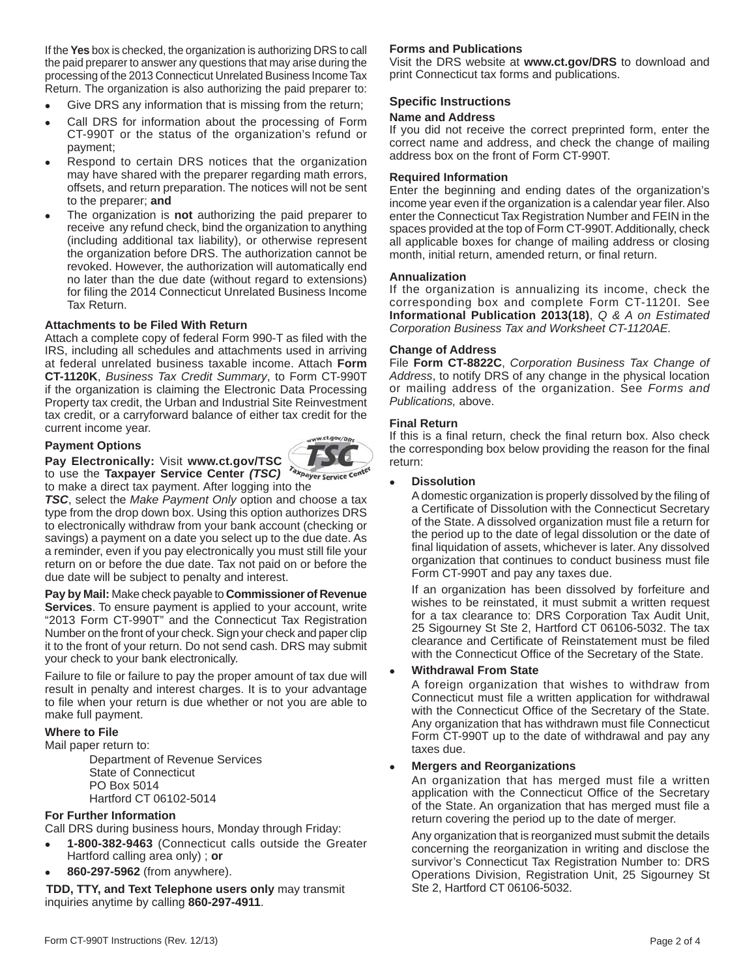If the **Yes** box is checked, the organization is authorizing DRS to call the paid preparer to answer any questions that may arise during the processing of the 2013 Connecticut Unrelated Business Income Tax Return. The organization is also authorizing the paid preparer to:

- Give DRS any information that is missing from the return;
- Call DRS for information about the processing of Form CT-990T or the status of the organization's refund or payment;
- Respond to certain DRS notices that the organization may have shared with the preparer regarding math errors, offsets, and return preparation. The notices will not be sent to the preparer; **and**
- The organization is **not** authorizing the paid preparer to receive any refund check, bind the organization to anything (including additional tax liability), or otherwise represent the organization before DRS. The authorization cannot be revoked. However, the authorization will automatically end no later than the due date (without regard to extensions) for filing the 2014 Connecticut Unrelated Business Income Tax Return.

#### **Attachments to be Filed With Return**

Attach a complete copy of federal Form 990-T as filed with the IRS, including all schedules and attachments used in arriving at federal unrelated business taxable income. Attach **Form CT-1120K**, *Business Tax Credit Summary*, to Form CT-990T if the organization is claiming the Electronic Data Processing Property tax credit, the Urban and Industrial Site Reinvestment tax credit, or a carryforward balance of either tax credit for the current income year.

#### **Payment Options**



to use the **Taxpayer Service Center** *(TSC)*  to make a direct tax payment. After logging into the

**Pay Electronically:** Visit **www.ct.gov/TSC**

*TSC*, select the *Make Payment Only* option and choose a tax type from the drop down box. Using this option authorizes DRS to electronically withdraw from your bank account (checking or savings) a payment on a date you select up to the due date. As a reminder, even if you pay electronically you must still file your return on or before the due date. Tax not paid on or before the due date will be subject to penalty and interest.

**Pay by Mail:** Make check payable to **Commissioner of Revenue Services**. To ensure payment is applied to your account, write "2013 Form CT-990T" and the Connecticut Tax Registration Number on the front of your check. Sign your check and paper clip it to the front of your return. Do not send cash. DRS may submit your check to your bank electronically.

Failure to file or failure to pay the proper amount of tax due will result in penalty and interest charges. It is to your advantage to file when your return is due whether or not you are able to make full payment.

### **Where to File**

Mail paper return to:

 Department of Revenue Services State of Connecticut PO Box 5014 Hartford CT 06102-5014

# **For Further Information**

Call DRS during business hours, Monday through Friday:

- **1-800-382-9463** (Connecticut calls outside the Greater Hartford calling area only) ; **or**
- **860-297-5962** (from anywhere).

**TDD, TTY, and Text Telephone users only** may transmit inquiries anytime by calling **860-297-4911**.

### **Forms and Publications**

Visit the DRS website at **www.ct.gov/DRS** to download and print Connecticut tax forms and publications.

### **Specific Instructions**

### **Name and Address**

If you did not receive the correct preprinted form, enter the correct name and address, and check the change of mailing address box on the front of Form CT-990T.

#### **Required Information**

Enter the beginning and ending dates of the organization's income year even if the organization is a calendar year filer. Also enter the Connecticut Tax Registration Number and FEIN in the spaces provided at the top of Form CT-990T. Additionally, check all applicable boxes for change of mailing address or closing month, initial return, amended return, or final return.

#### **Annualization**

If the organization is annualizing its income, check the corresponding box and complete Form CT-1120I*.* See **Informational Publication 2013(18)**, *Q & A on Estimated Corporation Business Tax and Worksheet CT-1120AE.*

#### **Change of Address**

File **Form CT-8822C**, *Corporation Business Tax Change of Address*, to notify DRS of any change in the physical location or mailing address of the organization. See *Forms and Publications,* above.

#### **Final Return**

If this is a final return, check the final return box. Also check the corresponding box below providing the reason for the final return:

#### **Dissolution**

A domestic organization is properly dissolved by the filing of a Certificate of Dissolution with the Connecticut Secretary of the State. A dissolved organization must file a return for the period up to the date of legal dissolution or the date of final liquidation of assets, whichever is later. Any dissolved organization that continues to conduct business must file Form CT-990T and pay any taxes due.

 If an organization has been dissolved by forfeiture and wishes to be reinstated, it must submit a written request for a tax clearance to: DRS Corporation Tax Audit Unit, 25 Sigourney St Ste 2, Hartford CT 06106-5032. The tax clearance and Certificate of Reinstatement must be filed with the Connecticut Office of the Secretary of the State.

#### **Withdrawal From State**

 A foreign organization that wishes to withdraw from Connecticut must file a written application for withdrawal with the Connecticut Office of the Secretary of the State. Any organization that has withdrawn must file Connecticut Form CT-990T up to the date of withdrawal and pay any taxes due.

#### **Mergers and Reorganizations**

 An organization that has merged must file a written application with the Connecticut Office of the Secretary of the State. An organization that has merged must file a return covering the period up to the date of merger.

 Any organization that is reorganized must submit the details concerning the reorganization in writing and disclose the survivor's Connecticut Tax Registration Number to: DRS Operations Division, Registration Unit, 25 Sigourney St Ste 2, Hartford CT 06106-5032.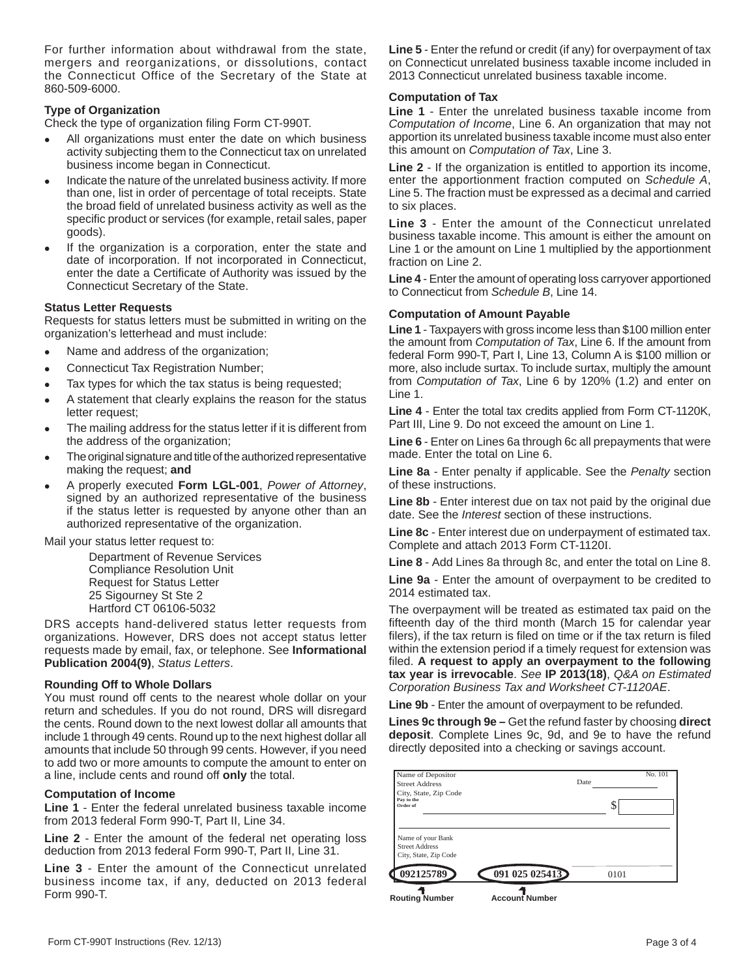For further information about withdrawal from the state, mergers and reorganizations, or dissolutions, contact the Connecticut Office of the Secretary of the State at 860-509-6000.

# **Type of Organization**

Check the type of organization filing Form CT-990T.

- All organizations must enter the date on which business activity subjecting them to the Connecticut tax on unrelated business income began in Connecticut.
- Indicate the nature of the unrelated business activity. If more than one, list in order of percentage of total receipts. State the broad field of unrelated business activity as well as the specific product or services (for example, retail sales, paper goods).
- If the organization is a corporation, enter the state and date of incorporation. If not incorporated in Connecticut, enter the date a Certificate of Authority was issued by the Connecticut Secretary of the State.

### **Status Letter Requests**

Requests for status letters must be submitted in writing on the organization's letterhead and must include:

- Name and address of the organization;
- Connecticut Tax Registration Number;
- Tax types for which the tax status is being requested;
- A statement that clearly explains the reason for the status letter request;
- The mailing address for the status letter if it is different from the address of the organization;
- The original signature and title of the authorized representative making the request; **and**
- A properly executed **Form LGL-001**, *Power of Attorney*, signed by an authorized representative of the business if the status letter is requested by anyone other than an authorized representative of the organization.

Mail your status letter request to:

 Department of Revenue Services Compliance Resolution Unit Request for Status Letter 25 Sigourney St Ste 2 Hartford CT 06106-5032

DRS accepts hand-delivered status letter requests from organizations. However, DRS does not accept status letter requests made by email, fax, or telephone. See **Informational Publication 2004(9)**, *Status Letters*.

### **Rounding Off to Whole Dollars**

You must round off cents to the nearest whole dollar on your return and schedules. If you do not round, DRS will disregard the cents. Round down to the next lowest dollar all amounts that include 1 through 49 cents. Round up to the next highest dollar all amounts that include 50 through 99 cents. However, if you need to add two or more amounts to compute the amount to enter on a line, include cents and round off **only** the total.

### **Computation of Income**

**Line 1** - Enter the federal unrelated business taxable income from 2013 federal Form 990-T, Part II, Line 34.

**Line 2** - Enter the amount of the federal net operating loss deduction from 2013 federal Form 990-T, Part II, Line 31.

**Line 3** - Enter the amount of the Connecticut unrelated business income tax, if any, deducted on 2013 federal Form 990-T.

**Line 5** - Enter the refund or credit (if any) for overpayment of tax on Connecticut unrelated business taxable income included in 2013 Connecticut unrelated business taxable income.

### **Computation of Tax**

**Line 1** - Enter the unrelated business taxable income from *Computation of Income*, Line 6. An organization that may not apportion its unrelated business taxable income must also enter this amount on *Computation of Tax*, Line 3.

**Line 2** - If the organization is entitled to apportion its income, enter the apportionment fraction computed on *Schedule A*, Line 5. The fraction must be expressed as a decimal and carried to six places.

**Line 3** - Enter the amount of the Connecticut unrelated business taxable income. This amount is either the amount on Line 1 or the amount on Line 1 multiplied by the apportionment fraction on Line 2.

**Line 4** - Enter the amount of operating loss carryover apportioned to Connecticut from *Schedule B*, Line 14.

#### **Computation of Amount Payable**

**Line 1** - Taxpayers with gross income less than \$100 million enter the amount from *Computation of Tax*, Line 6. If the amount from federal Form 990-T, Part I, Line 13, Column A is \$100 million or more, also include surtax. To include surtax, multiply the amount from *Computation of Tax*, Line 6 by 120% (1.2) and enter on Line 1.

**Line 4** - Enter the total tax credits applied from Form CT-1120K, Part III, Line 9. Do not exceed the amount on Line 1.

**Line 6** - Enter on Lines 6a through 6c all prepayments that were made. Enter the total on Line 6.

**Line 8a** - Enter penalty if applicable. See the *Penalty* section of these instructions.

**Line 8b** - Enter interest due on tax not paid by the original due date. See the *Interest* section of these instructions.

**Line 8c** - Enter interest due on underpayment of estimated tax. Complete and attach 2013 Form CT-1120I.

**Line 8** - Add Lines 8a through 8c, and enter the total on Line 8.

**Line 9a** - Enter the amount of overpayment to be credited to 2014 estimated tax.

The overpayment will be treated as estimated tax paid on the fifteenth day of the third month (March 15 for calendar year filers), if the tax return is filed on time or if the tax return is filed within the extension period if a timely request for extension was filed. A request to apply an overpayment to the following **tax year is irrevocable**. *See* **IP 2013(18)**, *Q&A on Estimated Corporation Business Tax and Worksheet CT-1120AE*.

**Line 9b** - Enter the amount of overpayment to be refunded.

**Lines 9c through 9e –** Get the refund faster by choosing **direct deposit**. Complete Lines 9c, 9d, and 9e to have the refund directly deposited into a checking or savings account.

| 092125789                                                           | 091 025 025413 | 0101    |         |
|---------------------------------------------------------------------|----------------|---------|---------|
| Name of your Bank<br><b>Street Address</b><br>City, State, Zip Code |                |         |         |
| City, State, Zip Code<br>Pay to the<br>Order of                     |                | œ<br>J. |         |
| Name of Depositor<br>Street Address                                 |                | Date    | No. 101 |

**Routing Number Account Number**

Form CT-990T Instructions (Rev. 12/13) **Page 3 of 4** Page 3 of 4